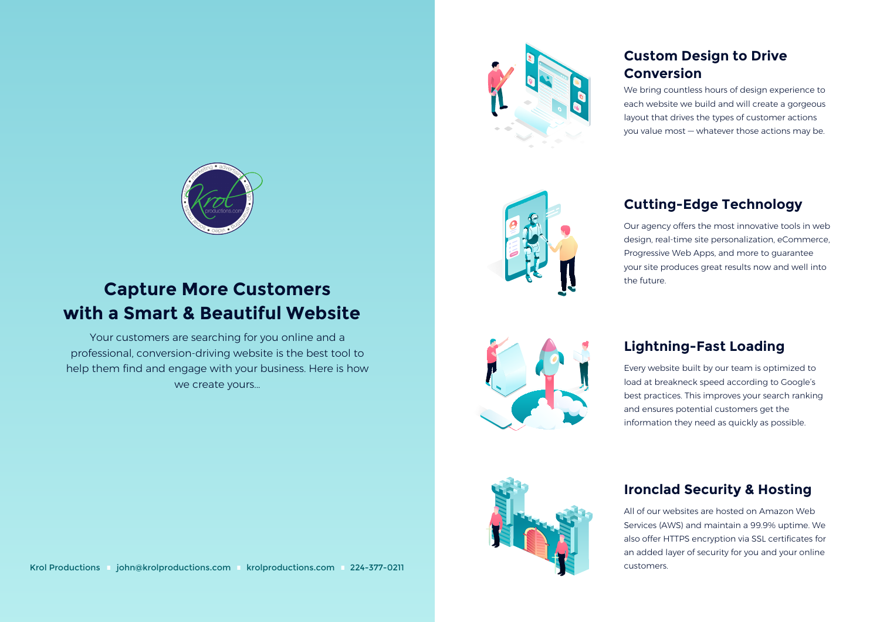

# **Capture More Customers with a Smart & Beautiful Website**

Your customers are searching for you online and a professional, conversion-driving website is the best tool to help them find and engage with your business. Here is how we create yours...

Krol Productions ijohn@krolproductions.com krolproductions.com 224-377-0211 isother in in customers.



## **Custom Design to Drive Conversion**

We bring countless hours of design experience to each website we build and will create a gorgeous layout that drives the types of customer actions you value most — whatever those actions may be.



## **Cutting-Edge Technology**

Our agency offers the most innovative tools in web design, real-time site personalization, eCommerce, Progressive Web Apps, and more to guarantee your site produces great results now and well into the future.



## **Lightning-Fast Loading**

Every website built by our team is optimized to load at breakneck speed according to Google's best practices. This improves your search ranking and ensures potential customers get the information they need as quickly as possible.



## **Ironclad Security & Hosting**

All of our websites are hosted on Amazon Web Services (AWS) and maintain a 99.9% uptime. We also offer HTTPS encryption via SSL certificates for an added layer of security for you and your online